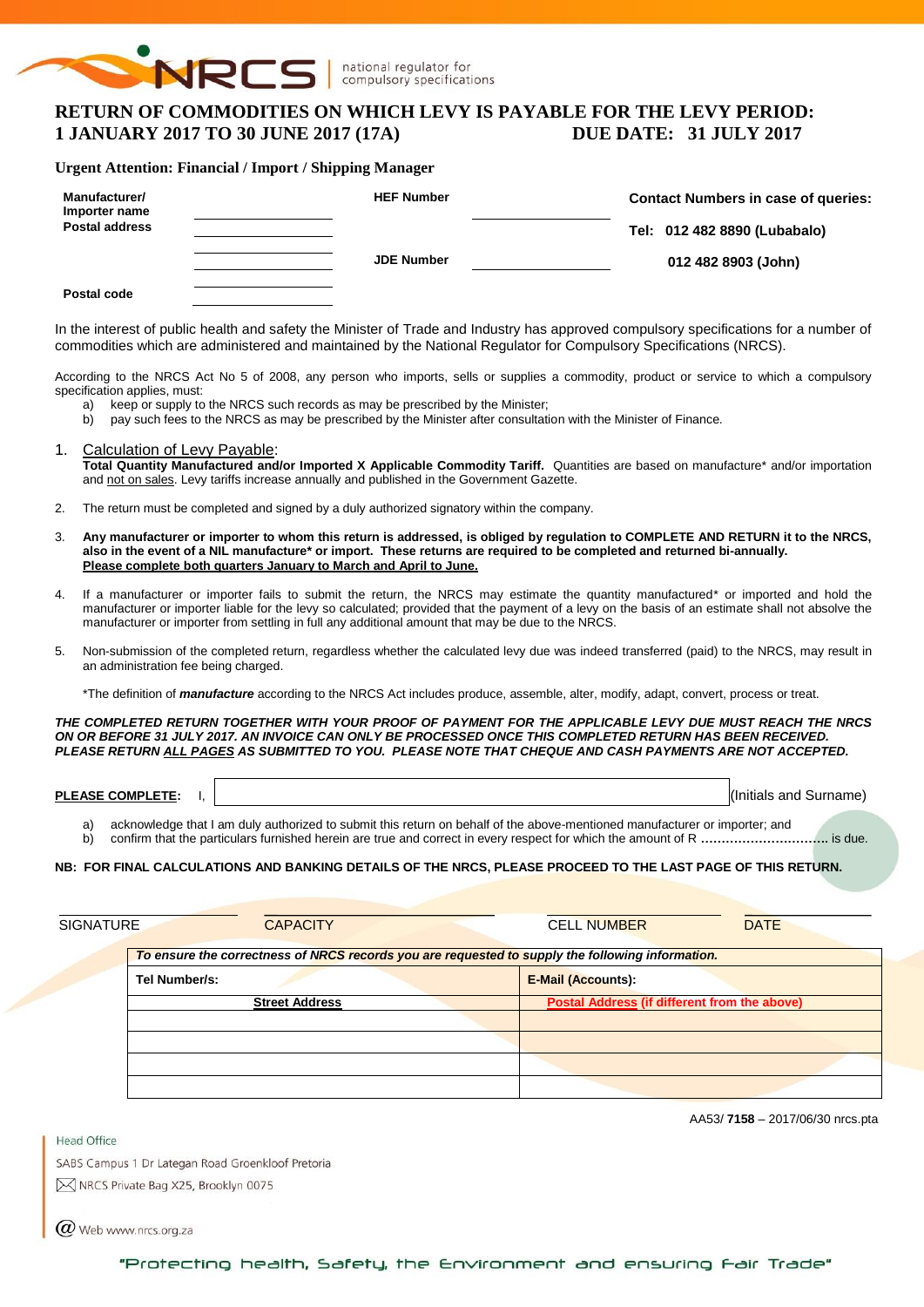

national regulator for compulsory specifications

# **RETURN OF COMMODITIES ON WHICH LEVY IS PAYABLE FOR THE LEVY PERIOD: 1 JANUARY 2017 TO 30 JUNE 2017 (17A) DUE DATE: 31 JULY 2017**

#### **Urgent Attention: Financial / Import / Shipping Manager**

| <b>Manufacturer/</b><br>Importer name | <b>HEF Number</b> | <b>Contact Numbers in case of queries:</b> |
|---------------------------------------|-------------------|--------------------------------------------|
| <b>Postal address</b>                 |                   | Tel: 012 482 8890 (Lubabalo)               |
|                                       | <b>JDE Number</b> | 012 482 8903 (John)                        |
| Postal code                           |                   |                                            |

In the interest of public health and safety the Minister of Trade and Industry has approved compulsory specifications for a number of commodities which are administered and maintained by the National Regulator for Compulsory Specifications (NRCS).

According to the NRCS Act No 5 of 2008, any person who imports, sells or supplies a commodity, product or service to which a compulsory specification applies, must:

- a) keep or supply to the NRCS such records as may be prescribed by the Minister;
- b) pay such fees to the NRCS as may be prescribed by the Minister after consultation with the Minister of Finance.
- 1. Calculation of Levy Payable: **Total Quantity Manufactured and/or Imported X Applicable Commodity Tariff.** Quantities are based on manufacture\* and/or importation and not on sales. Levy tariffs increase annually and published in the Government Gazette.
- 2. The return must be completed and signed by a duly authorized signatory within the company.
- 3. **Any manufacturer or importer to whom this return is addressed, is obliged by regulation to COMPLETE AND RETURN it to the NRCS, also in the event of a NIL manufacture\* or import. These returns are required to be completed and returned bi-annually. Please complete both quarters January to March and April to June.**
- 4. If a manufacturer or importer fails to submit the return, the NRCS may estimate the quantity manufactured\* or imported and hold the manufacturer or importer liable for the levy so calculated; provided that the payment of a levy on the basis of an estimate shall not absolve the manufacturer or importer from settling in full any additional amount that may be due to the NRCS.
- 5. Non-submission of the completed return, regardless whether the calculated levy due was indeed transferred (paid) to the NRCS, may result in an administration fee being charged.

\*The definition of *manufacture* according to the NRCS Act includes produce, assemble, alter, modify, adapt, convert, process or treat.

*THE COMPLETED RETURN TOGETHER WITH YOUR PROOF OF PAYMENT FOR THE APPLICABLE LEVY DUE MUST REACH THE NRCS ON OR BEFORE 31 JULY 2017. AN INVOICE CAN ONLY BE PROCESSED ONCE THIS COMPLETED RETURN HAS BEEN RECEIVED. PLEASE RETURN ALL PAGES AS SUBMITTED TO YOU. PLEASE NOTE THAT CHEQUE AND CASH PAYMENTS ARE NOT ACCEPTED.*

**PLEASE COMPLETE:** I,  $\vert$ 

- a) acknowledge that I am duly authorized to submit this return on behalf of the above-mentioned manufacturer or importer; and
- b) confirm that the particulars furnished herein are true and correct in every respect for which the amount of R **………………………….** is due.

#### **NB: FOR FINAL CALCULATIONS AND BANKING DETAILS OF THE NRCS, PLEASE PROCEED TO THE LAST PAGE OF THIS RETURN.**

| SIGNATURE | <b>CAPACITY</b>                                                                                  | <b>CELL NUMBER</b>                                  | <b>DATE</b> |
|-----------|--------------------------------------------------------------------------------------------------|-----------------------------------------------------|-------------|
|           | To ensure the correctness of NRCS records you are requested to supply the following information. |                                                     |             |
|           | Tel Number/s:                                                                                    | <b>E-Mail (Accounts):</b>                           |             |
|           | <b>Street Address</b>                                                                            | <b>Postal Address (if different from the above)</b> |             |
|           |                                                                                                  |                                                     |             |
|           |                                                                                                  |                                                     |             |
|           |                                                                                                  |                                                     |             |
|           |                                                                                                  |                                                     |             |

AA53/ **7158** – 2017/06/30 nrcs.pta

SABS Campus 1 Dr Lategan Road Groenkloof Pretoria M NRCS Private Bag X25, Brooklyn 0075

 $(\alpha)$  Web www.nrcs.org.za

Head Office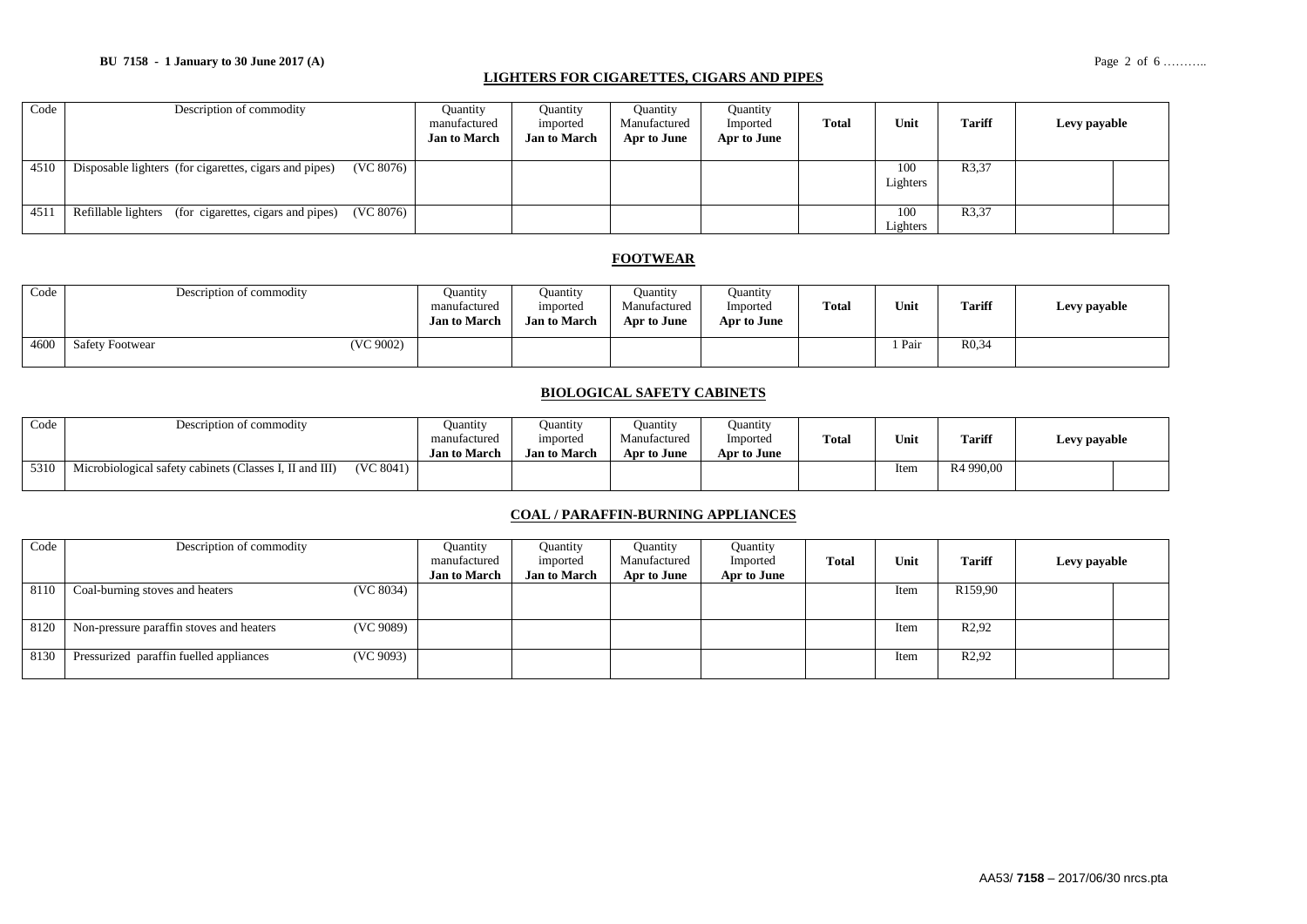### **BU 7158 - 1 January to 30 June 2017 (A)** Page 2 of 6 ………..

### **LIGHTERS FOR CIGARETTES, CIGARS AND PIPES**

| Code | Description of commodity                                            | <b>Quantity</b><br>manufactured<br><b>Jan to March</b> | Ouantity<br>imported<br><b>Jan to March</b> | <b>Quantity</b><br>Manufactured<br>Apr to June | Quantity<br>Imported<br>Apr to June | Total | Unit            | <b>Tariff</b> | Levy payable |
|------|---------------------------------------------------------------------|--------------------------------------------------------|---------------------------------------------|------------------------------------------------|-------------------------------------|-------|-----------------|---------------|--------------|
| 4510 | (VC 8076)<br>Disposable lighters (for cigarettes, cigars and pipes) |                                                        |                                             |                                                |                                     |       | 100<br>Lighters | R3,37         |              |
| 4511 | Refillable lighters (for cigarettes, cigars and pipes)<br>(VC 8076) |                                                        |                                             |                                                |                                     |       | 100<br>Lighters | R3,37         |              |

### **FOOTWEAR**

| Code | Description of commodity            | Ouantity<br>manufactured<br><b>Jan to March</b> | Ouantity<br>imported<br><b>Jan to March</b> | Ouantity<br>Manufactured<br>Apr to June | <b>Ouantity</b><br>Imported<br>Apr to June | <b>Total</b> | Unit | <b>Tariff</b>     | Levy payable |
|------|-------------------------------------|-------------------------------------------------|---------------------------------------------|-----------------------------------------|--------------------------------------------|--------------|------|-------------------|--------------|
| 4600 | (VC 9002)<br><b>Safety Footwear</b> |                                                 |                                             |                                         |                                            |              | Pair | R <sub>0.34</sub> |              |

### **BIOLOGICAL SAFETY CABINETS**

| Code | Description of commodity                                |           | Ouantity<br>manufactured<br><b>Jan to March</b> | Ouantity<br>imported<br><b>Jan to March</b> | Ouantity<br>Manufactured<br>Apr to June | Ouantity<br>Imported<br>Apr to June | Total | Unit | <b>Tariff</b>         | Levy payable |  |
|------|---------------------------------------------------------|-----------|-------------------------------------------------|---------------------------------------------|-----------------------------------------|-------------------------------------|-------|------|-----------------------|--------------|--|
| 5310 | Microbiological safety cabinets (Classes I, II and III) | (VC 8041) |                                                 |                                             |                                         |                                     |       | Item | R <sub>4</sub> 990.00 |              |  |

### **COAL / PARAFFIN-BURNING APPLIANCES**

| Code | Description of commodity                              | Ouantity            | Ouantity            | <b>Quantity</b> | Quantity    |       |      |                     |              |  |
|------|-------------------------------------------------------|---------------------|---------------------|-----------------|-------------|-------|------|---------------------|--------------|--|
|      |                                                       | manufactured        | imported            | Manufactured    | Imported    | Total | Unit | <b>Tariff</b>       | Levy payable |  |
|      |                                                       | <b>Jan to March</b> | <b>Jan to March</b> | Apr to June     | Apr to June |       |      |                     |              |  |
| 8110 | (VC 8034)<br>Coal-burning stoves and heaters          |                     |                     |                 |             |       | Item | R <sub>159,90</sub> |              |  |
|      |                                                       |                     |                     |                 |             |       |      |                     |              |  |
| 8120 | (VC 9089)<br>Non-pressure paraffin stoves and heaters |                     |                     |                 |             |       | Item | R <sub>2</sub> ,92  |              |  |
| 8130 | (VC 9093)<br>Pressurized paraffin fuelled appliances  |                     |                     |                 |             |       | Item | R <sub>2</sub> ,92  |              |  |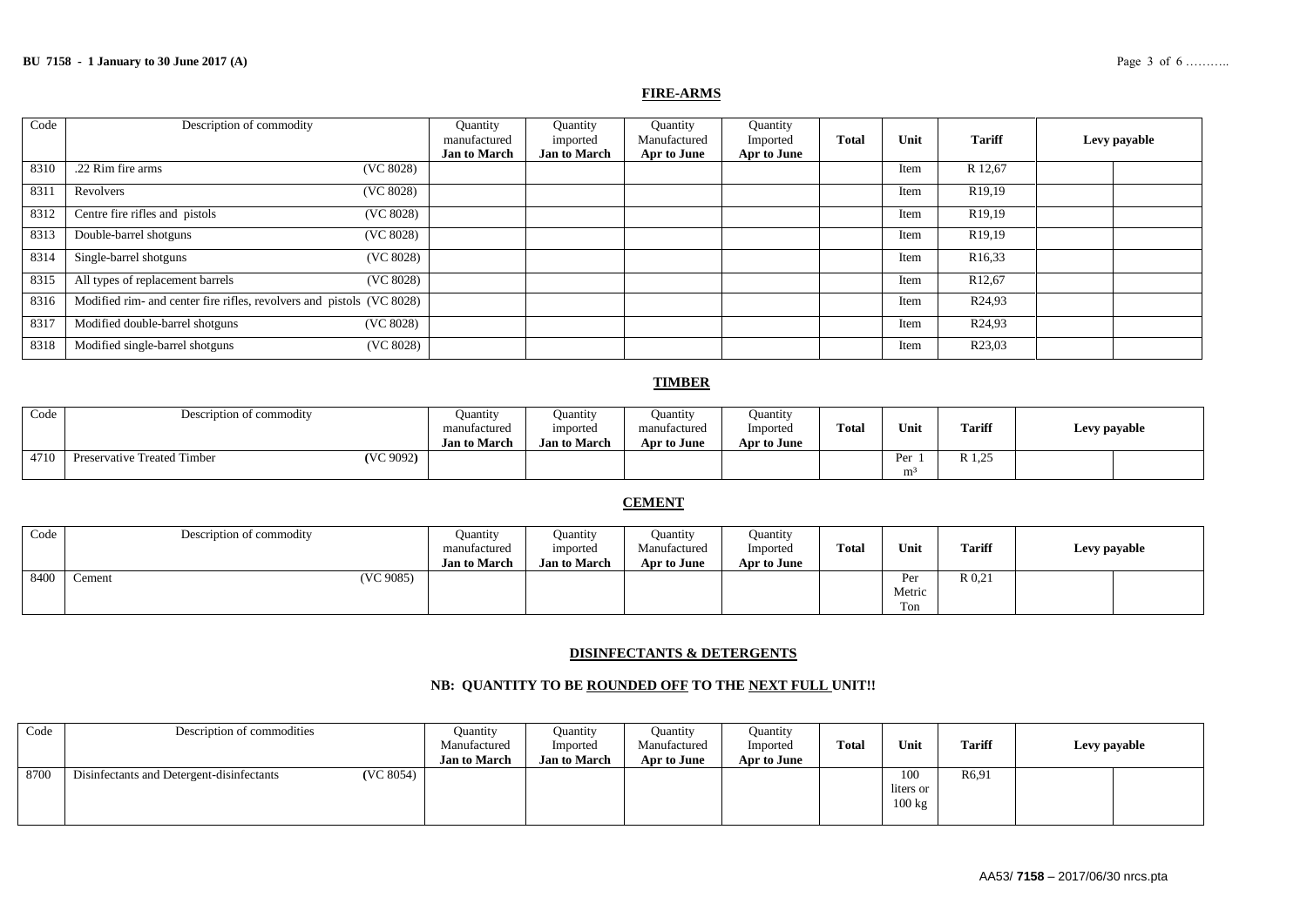#### **FIRE-ARMS**

| Code | Description of commodity                                              | Quantity<br>manufactured<br><b>Jan to March</b> | Quantity<br>imported<br><b>Jan to March</b> | Quantity<br>Manufactured<br>Apr to June | Quantity<br>Imported<br>Apr to June | <b>Total</b> | Unit | <b>Tariff</b>        | Levy payable |
|------|-----------------------------------------------------------------------|-------------------------------------------------|---------------------------------------------|-----------------------------------------|-------------------------------------|--------------|------|----------------------|--------------|
| 8310 | .22 Rim fire arms<br>(VC 8028)                                        |                                                 |                                             |                                         |                                     |              | Item | R 12,67              |              |
| 831  | (VC 8028)<br>Revolvers                                                |                                                 |                                             |                                         |                                     |              | Item | R <sub>19</sub> ,19  |              |
| 8312 | Centre fire rifles and pistols<br>(VC 8028)                           |                                                 |                                             |                                         |                                     |              | Item | R <sub>19</sub> ,19  |              |
| 8313 | Double-barrel shotguns<br>(VC 8028)                                   |                                                 |                                             |                                         |                                     |              | Item | R <sub>19</sub> ,19  |              |
| 8314 | Single-barrel shotguns<br>(VC 8028)                                   |                                                 |                                             |                                         |                                     |              | Item | R <sub>16</sub> , 33 |              |
| 8315 | All types of replacement barrels<br>(VC 8028)                         |                                                 |                                             |                                         |                                     |              | Item | R <sub>12,67</sub>   |              |
| 8316 | Modified rim- and center fire rifles, revolvers and pistols (VC 8028) |                                                 |                                             |                                         |                                     |              | Item | R <sub>24</sub> ,93  |              |
| 8317 | Modified double-barrel shotguns<br>(VC 8028)                          |                                                 |                                             |                                         |                                     |              | Item | R <sub>24</sub> ,93  |              |
| 8318 | Modified single-barrel shotguns<br>(VC 8028)                          |                                                 |                                             |                                         |                                     |              | Item | R23,03               |              |

### **TIMBER**

| Code | Description of commodity                 | Ouantity            | Ouantity            | Ouantity     | <b>Ouantity</b> |              |      |                            |              |
|------|------------------------------------------|---------------------|---------------------|--------------|-----------------|--------------|------|----------------------------|--------------|
|      |                                          | manufactured        | imported            | manufactured | Imported        | <b>Total</b> | Unit | <b>Tariff</b>              | Levy payable |
|      |                                          | <b>Jan to March</b> | <b>Jan to March</b> | Apr to June  | Apr to June     |              |      |                            |              |
| 4710 | (VC 9092)<br>Preservative Treated Timber |                     |                     |              |                 |              | Per  | $\gamma$<br>D 1<br>11 1.20 |              |
|      |                                          |                     |                     |              |                 |              | m    |                            |              |

### **CEMENT**

| Code | Description of commodity | Ouantity<br>manufactured<br><b>Jan to March</b> | Ouantity<br>imported<br><b>Jan to March</b> | <b>Quantity</b><br>Manufactured<br>Apr to June | Ouantity<br>Imported<br>Apr to June | <b>Total</b> | Unit                 | <b>Tariff</b> | Levy payable |
|------|--------------------------|-------------------------------------------------|---------------------------------------------|------------------------------------------------|-------------------------------------|--------------|----------------------|---------------|--------------|
| 8400 | (VC 9085)<br>Cement      |                                                 |                                             |                                                |                                     |              | Per<br>Metric<br>Ton | R 0.21        |              |

### **DISINFECTANTS & DETERGENTS**

### **NB: QUANTITY TO BE ROUNDED OFF TO THE NEXT FULL UNIT!!**

| Code | Description of commodities                             | Quantity<br>Manufactured<br><b>Jan to March</b> | <b>Quantity</b><br>Imported<br><b>Jan to March</b> | <b>Quantity</b><br>Manufactured<br>Apr to June | Ouantity<br>Imported<br>Apr to June | <b>Total</b> | Unit                                 | <b>Tariff</b> | Levy payable |  |
|------|--------------------------------------------------------|-------------------------------------------------|----------------------------------------------------|------------------------------------------------|-------------------------------------|--------------|--------------------------------------|---------------|--------------|--|
| 8700 | (VC 8054)<br>Disinfectants and Detergent-disinfectants |                                                 |                                                    |                                                |                                     |              | 100<br>liters or<br>$100 \text{ kg}$ | R6.91         |              |  |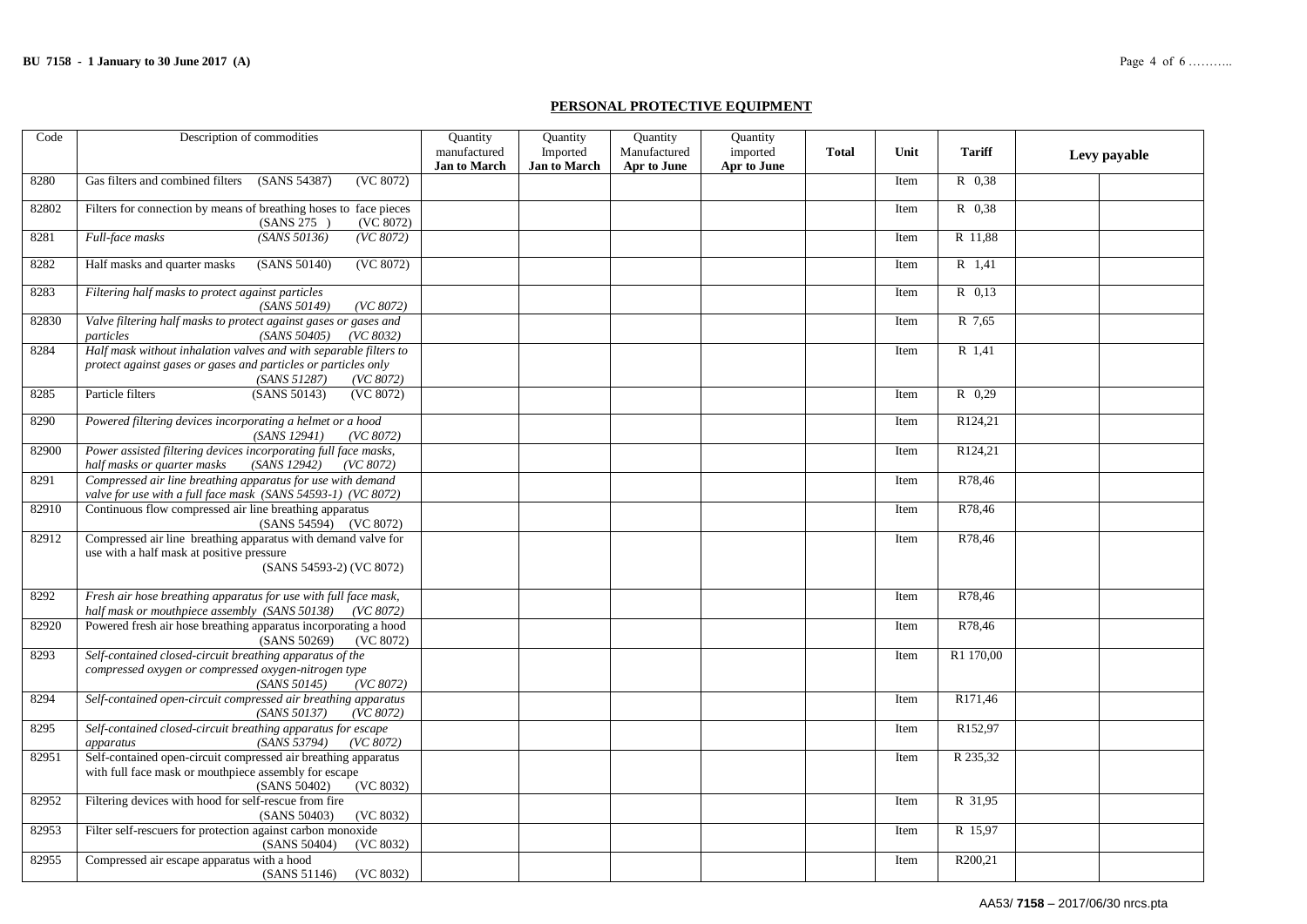#### **PERSONAL PROTECTIVE EQUIPMENT**

| Code  | Description of commodities                                                                                                                                       | <b>Quantity</b>                     | Quantity                        | Quantity                    | Quantity                |              |      |               |              |
|-------|------------------------------------------------------------------------------------------------------------------------------------------------------------------|-------------------------------------|---------------------------------|-----------------------------|-------------------------|--------------|------|---------------|--------------|
|       |                                                                                                                                                                  | manufactured<br><b>Jan to March</b> | Imported<br><b>Jan to March</b> | Manufactured<br>Apr to June | imported<br>Apr to June | <b>Total</b> | Unit | <b>Tariff</b> | Levy payable |
| 8280  | Gas filters and combined filters<br>(SANS 54387)<br>(VC 8072)                                                                                                    |                                     |                                 |                             |                         |              | Item | R 0.38        |              |
| 82802 | Filters for connection by means of breathing hoses to face pieces<br>(SANS 275)<br>(VC 8072)                                                                     |                                     |                                 |                             |                         |              | Item | R 0.38        |              |
| 8281  | (SANS 50136)<br>Full-face masks<br>(VC 8072)                                                                                                                     |                                     |                                 |                             |                         |              | Item | R 11,88       |              |
| 8282  | Half masks and quarter masks<br>(SANS 50140)<br>(VC 8072)                                                                                                        |                                     |                                 |                             |                         |              | Item | R 1,41        |              |
| 8283  | Filtering half masks to protect against particles<br>(SANS 50149)<br>(VC 8072)                                                                                   |                                     |                                 |                             |                         |              | Item | R 0.13        |              |
| 82830 | Valve filtering half masks to protect against gases or gases and<br>(SANS 50405)<br>particles<br>(VC 8032)                                                       |                                     |                                 |                             |                         |              | Item | R 7,65        |              |
| 8284  | Half mask without inhalation valves and with separable filters to<br>protect against gases or gases and particles or particles only<br>(SANS 51287)<br>(VC 8072) |                                     |                                 |                             |                         |              | Item | R 1,41        |              |
| 8285  | Particle filters<br>(SANS 50143)<br>(VC 8072)                                                                                                                    |                                     |                                 |                             |                         |              | Item | $R$ 0,29      |              |
| 8290  | Powered filtering devices incorporating a helmet or a hood<br>(SANS 12941)<br>(VC 8072)                                                                          |                                     |                                 |                             |                         |              | Item | R124,21       |              |
| 82900 | Power assisted filtering devices incorporating full face masks,<br>half masks or quarter masks<br>(SANS 12942)<br>(VC 8072)                                      |                                     |                                 |                             |                         |              | Item | R124,21       |              |
| 8291  | Compressed air line breathing apparatus for use with demand<br>valve for use with a full face mask (SANS 54593-1) (VC 8072)                                      |                                     |                                 |                             |                         |              | Item | R78.46        |              |
| 82910 | Continuous flow compressed air line breathing apparatus<br>(SANS 54594) (VC 8072)                                                                                |                                     |                                 |                             |                         |              | Item | R78,46        |              |
| 82912 | Compressed air line breathing apparatus with demand valve for<br>use with a half mask at positive pressure<br>(SANS 54593-2) (VC 8072)                           |                                     |                                 |                             |                         |              | Item | R78.46        |              |
| 8292  | Fresh air hose breathing apparatus for use with full face mask,<br>half mask or mouthpiece assembly (SANS 50138) (VC 8072)                                       |                                     |                                 |                             |                         |              | Item | R78.46        |              |
| 82920 | Powered fresh air hose breathing apparatus incorporating a hood<br>(SANS 50269)<br>(VC 8072)                                                                     |                                     |                                 |                             |                         |              | Item | R78.46        |              |
| 8293  | Self-contained closed-circuit breathing apparatus of the<br>compressed oxygen or compressed oxygen-nitrogen type<br>(SANS 50145)<br>(VC 8072)                    |                                     |                                 |                             |                         |              | Item | R1 170,00     |              |
| 8294  | Self-contained open-circuit compressed air breathing apparatus<br>(SANS 50137)<br>(VC 8072)                                                                      |                                     |                                 |                             |                         |              | Item | R171.46       |              |
| 8295  | Self-contained closed-circuit breathing apparatus for escape<br>(SANS 53794)<br>(VC 8072)<br>apparatus                                                           |                                     |                                 |                             |                         |              | Item | R152,97       |              |
| 82951 | Self-contained open-circuit compressed air breathing apparatus<br>with full face mask or mouthpiece assembly for escape<br>(SANS 50402)<br>(VC 8032)             |                                     |                                 |                             |                         |              | Item | R 235,32      |              |
| 82952 | Filtering devices with hood for self-rescue from fire<br>(SANS 50403)<br>(VC 8032)                                                                               |                                     |                                 |                             |                         |              | Item | R 31,95       |              |
| 82953 | Filter self-rescuers for protection against carbon monoxide<br>(SANS 50404)<br>(VC 8032)                                                                         |                                     |                                 |                             |                         |              | Item | R 15,97       |              |
| 82955 | Compressed air escape apparatus with a hood<br>(SANS 51146)<br>(VC 8032)                                                                                         |                                     |                                 |                             |                         |              | Item | R200,21       |              |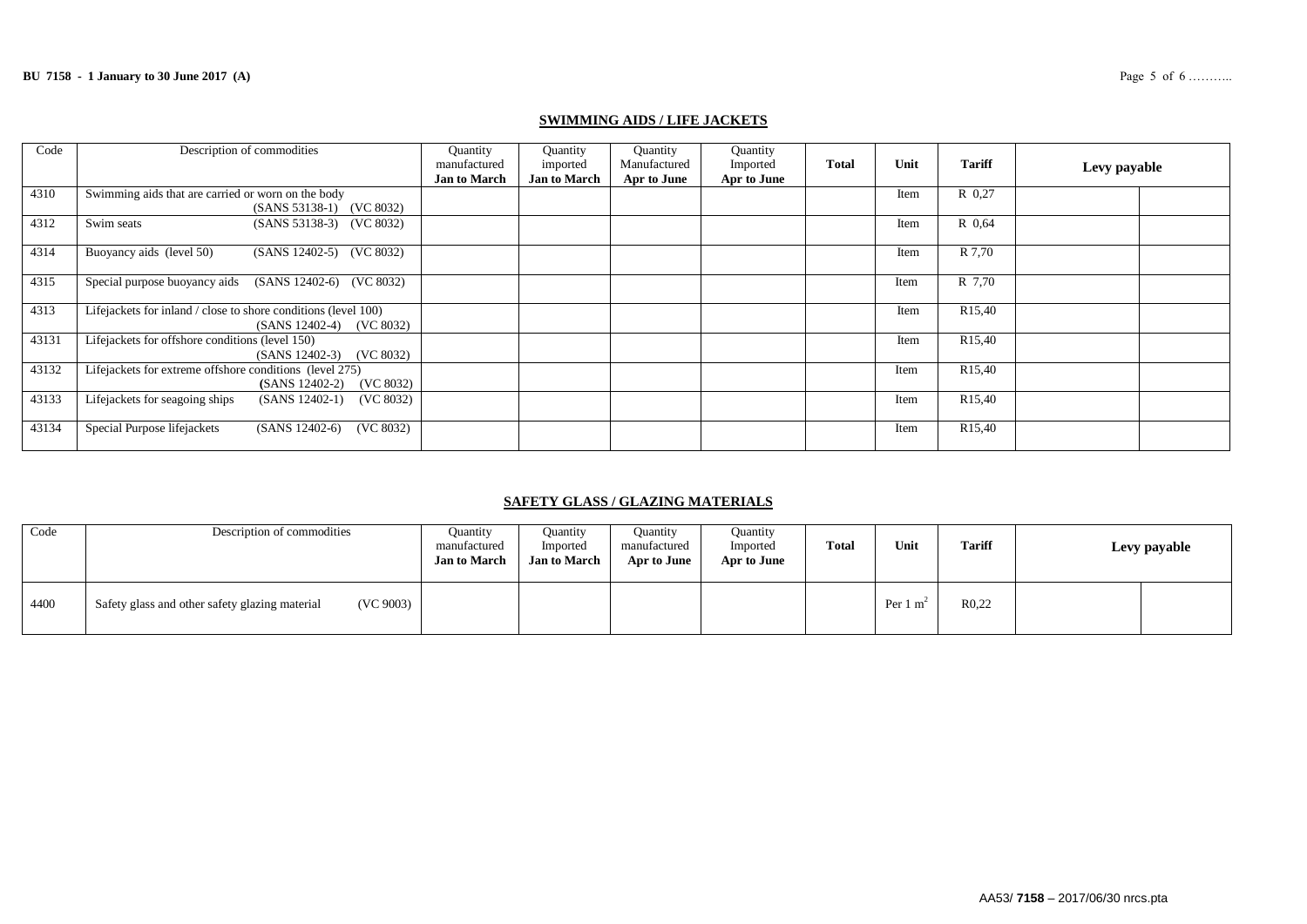| Code  | Description of commodities                                                                 | Quantity<br>manufactured<br><b>Jan to March</b> | Quantity<br>imported<br><b>Jan to March</b> | Quantity<br>Manufactured<br>Apr to June | Quantity<br>Imported<br>Apr to June | <b>Total</b> | Unit | <b>Tariff</b>       | Levy payable |  |
|-------|--------------------------------------------------------------------------------------------|-------------------------------------------------|---------------------------------------------|-----------------------------------------|-------------------------------------|--------------|------|---------------------|--------------|--|
| 4310  | Swimming aids that are carried or worn on the body<br>(SANS 53138-1) (VC 8032)             |                                                 |                                             |                                         |                                     |              | Item | R 0.27              |              |  |
| 4312  | Swim seats<br>(SANS 53138-3) (VC 8032)                                                     |                                                 |                                             |                                         |                                     |              | Item | R 0.64              |              |  |
| 4314  | Buoyancy aids (level 50)<br>(SANS 12402-5) (VC 8032)                                       |                                                 |                                             |                                         |                                     |              | Item | R 7.70              |              |  |
| 4315  | Special purpose buoyancy aids<br>(SANS 12402-6) (VC 8032)                                  |                                                 |                                             |                                         |                                     |              | Item | R 7.70              |              |  |
| 4313  | Lifejackets for inland / close to shore conditions (level 100)<br>(SANS 12402-4) (VC 8032) |                                                 |                                             |                                         |                                     |              | Item | R <sub>15</sub> ,40 |              |  |
| 43131 | Lifejackets for offshore conditions (level 150)<br>$(SANS 12402-3)$ $(VC 8032)$            |                                                 |                                             |                                         |                                     |              | Item | R <sub>15</sub> ,40 |              |  |
| 43132 | Lifejackets for extreme offshore conditions (level 275)<br>(SANS 12402-2) (VC 8032)        |                                                 |                                             |                                         |                                     |              | Item | R <sub>15</sub> ,40 |              |  |
| 43133 | Lifejackets for seagoing ships<br>$(SANS 12402-1)$<br>(VC 8032)                            |                                                 |                                             |                                         |                                     |              | Item | R <sub>15</sub> ,40 |              |  |
| 43134 | Special Purpose lifejackets<br>$(SANS 12402-6)$<br>(VC 8032)                               |                                                 |                                             |                                         |                                     |              | Item | R <sub>15</sub> ,40 |              |  |

### **SWIMMING AIDS / LIFE JACKETS**

### **SAFETY GLASS / GLAZING MATERIALS**

| Code | Description of commodities                                  | Ouantity<br>manufactured<br><b>Jan to March</b> | Quantity<br>Imported<br><b>Jan to March</b> | Ouantity<br>manufactured<br>Apr to June | Ouantity<br>Imported<br>Apr to June | <b>Total</b> | Unit                | <b>Tariff</b>     | Levy payable |  |
|------|-------------------------------------------------------------|-------------------------------------------------|---------------------------------------------|-----------------------------------------|-------------------------------------|--------------|---------------------|-------------------|--------------|--|
| 4400 | (VC 9003)<br>Safety glass and other safety glazing material |                                                 |                                             |                                         |                                     |              | Per $1 \text{ m}^2$ | R <sub>0.22</sub> |              |  |